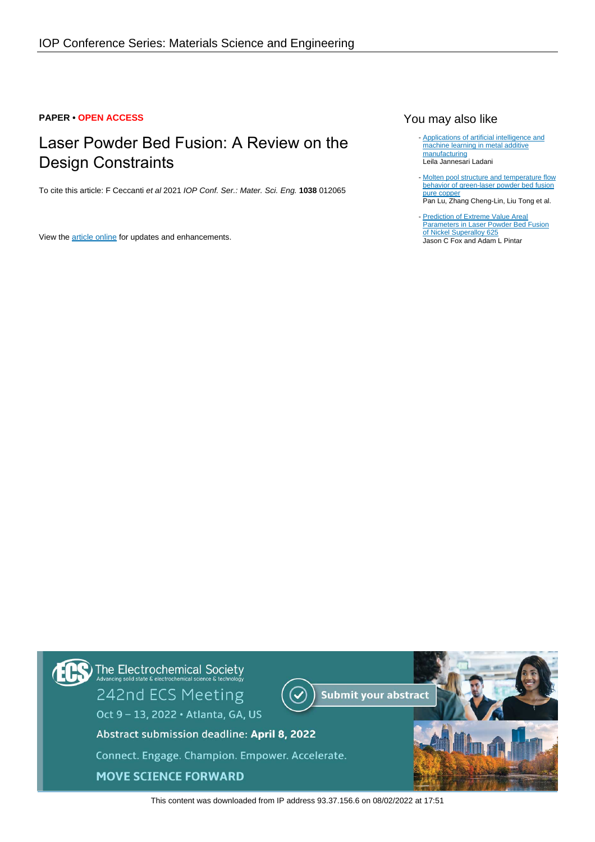## **PAPER • OPEN ACCESS**

# Laser Powder Bed Fusion: A Review on the Design Constraints

To cite this article: F Ceccanti et al 2021 IOP Conf. Ser.: Mater. Sci. Eng. **1038** 012065

View the [article online](https://doi.org/10.1088/1757-899X/1038/1/012065) for updates and enhancements.

## You may also like

- [Applications of artificial intelligence and](https://iopscience.iop.org/article/10.1088/2515-7639/ac2791) [machine learning in metal additive](https://iopscience.iop.org/article/10.1088/2515-7639/ac2791) [manufacturing](https://iopscience.iop.org/article/10.1088/2515-7639/ac2791) Leila Jannesari Ladani
- [Molten pool structure and temperature flow](https://iopscience.iop.org/article/10.1088/2053-1591/ac327a) [behavior of green-laser powder bed fusion](https://iopscience.iop.org/article/10.1088/2053-1591/ac327a) [pure copper](https://iopscience.iop.org/article/10.1088/2053-1591/ac327a) Pan Lu, Zhang Cheng-Lin, Liu Tong et al.
- [Prediction of Extreme Value Areal](https://iopscience.iop.org/article/10.1088/2051-672X/ac0061) **[Parameters in Laser Powder Bed Fusion](https://iopscience.iop.org/article/10.1088/2051-672X/ac0061)** [of Nickel Superalloy 625](https://iopscience.iop.org/article/10.1088/2051-672X/ac0061) Jason C Fox and Adam L Pintar



This content was downloaded from IP address 93.37.156.6 on 08/02/2022 at 17:51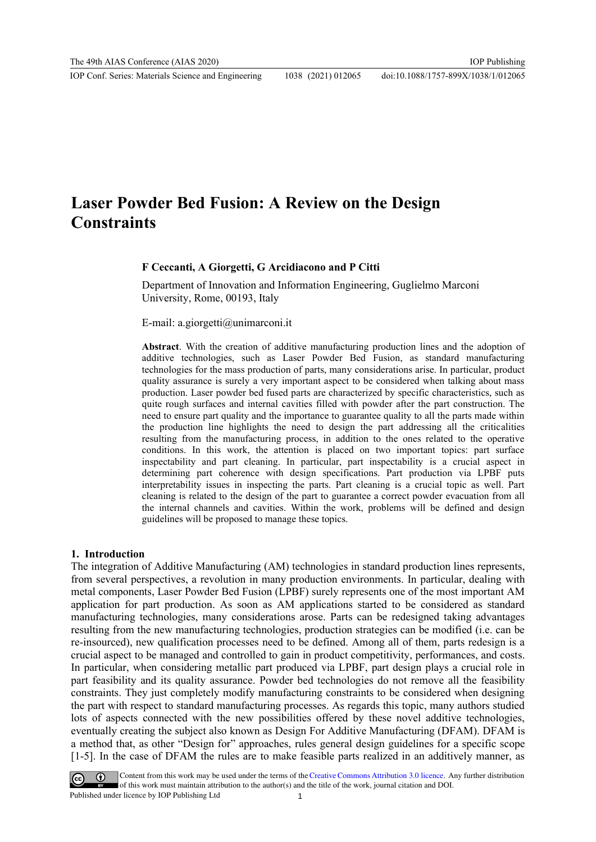# **Laser Powder Bed Fusion: A Review on the Design Constraints**

### **F Ceccanti, A Giorgetti, G Arcidiacono and P Citti**

Department of Innovation and Information Engineering, Guglielmo Marconi University, Rome, 00193, Italy

E-mail: a.giorgetti@unimarconi.it

**Abstract**. With the creation of additive manufacturing production lines and the adoption of additive technologies, such as Laser Powder Bed Fusion, as standard manufacturing technologies for the mass production of parts, many considerations arise. In particular, product quality assurance is surely a very important aspect to be considered when talking about mass production. Laser powder bed fused parts are characterized by specific characteristics, such as quite rough surfaces and internal cavities filled with powder after the part construction. The need to ensure part quality and the importance to guarantee quality to all the parts made within the production line highlights the need to design the part addressing all the criticalities resulting from the manufacturing process, in addition to the ones related to the operative conditions. In this work, the attention is placed on two important topics: part surface inspectability and part cleaning. In particular, part inspectability is a crucial aspect in determining part coherence with design specifications. Part production via LPBF puts interpretability issues in inspecting the parts. Part cleaning is a crucial topic as well. Part cleaning is related to the design of the part to guarantee a correct powder evacuation from all the internal channels and cavities. Within the work, problems will be defined and design guidelines will be proposed to manage these topics.

#### **1. Introduction**

The integration of Additive Manufacturing (AM) technologies in standard production lines represents, from several perspectives, a revolution in many production environments. In particular, dealing with metal components, Laser Powder Bed Fusion (LPBF) surely represents one of the most important AM application for part production. As soon as AM applications started to be considered as standard manufacturing technologies, many considerations arose. Parts can be redesigned taking advantages resulting from the new manufacturing technologies, production strategies can be modified (i.e. can be re-insourced), new qualification processes need to be defined. Among all of them, parts redesign is a crucial aspect to be managed and controlled to gain in product competitivity, performances, and costs. In particular, when considering metallic part produced via LPBF, part design plays a crucial role in part feasibility and its quality assurance. Powder bed technologies do not remove all the feasibility constraints. They just completely modify manufacturing constraints to be considered when designing the part with respect to standard manufacturing processes. As regards this topic, many authors studied lots of aspects connected with the new possibilities offered by these novel additive technologies, eventually creating the subject also known as Design For Additive Manufacturing (DFAM). DFAM is a method that, as other "Design for" approaches, rules general design guidelines for a specific scope [1-5]. In the case of DFAM the rules are to make feasible parts realized in an additively manner, as



Content from this work may be used under the terms of the Creative Commons Attribution 3.0 licence. Any further distribution of this work must maintain attribution to the author(s) and the title of the work, journal citation and DOI. Published under licence by IOP Publishing Ltd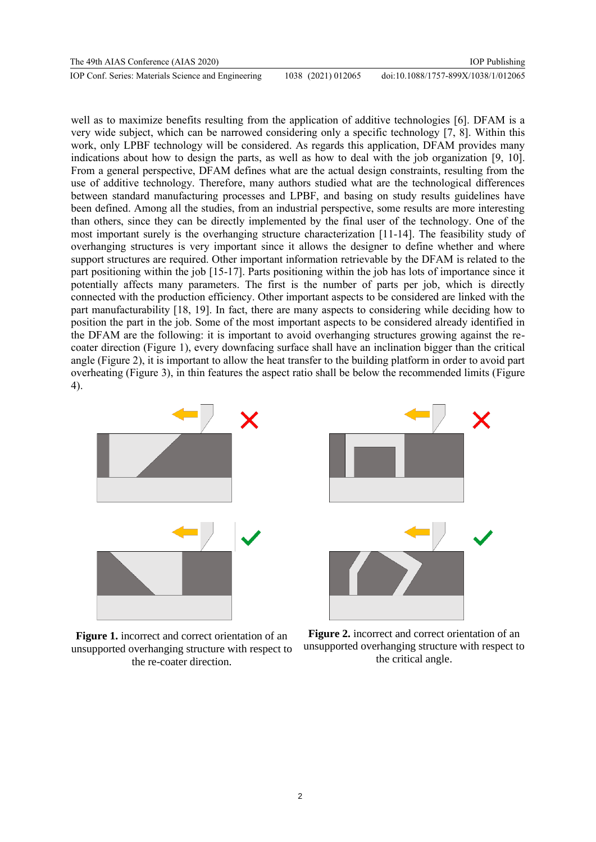| The 49th AIAS Conference (AIAS 2020)                |                    | <b>IOP</b> Publishing               |
|-----------------------------------------------------|--------------------|-------------------------------------|
| IOP Conf. Series: Materials Science and Engineering | 1038 (2021) 012065 | doi:10.1088/1757-899X/1038/1/012065 |

well as to maximize benefits resulting from the application of additive technologies [6]. DFAM is a very wide subject, which can be narrowed considering only a specific technology [7, 8]. Within this work, only LPBF technology will be considered. As regards this application, DFAM provides many indications about how to design the parts, as well as how to deal with the job organization [9, 10]. From a general perspective, DFAM defines what are the actual design constraints, resulting from the use of additive technology. Therefore, many authors studied what are the technological differences between standard manufacturing processes and LPBF, and basing on study results guidelines have been defined. Among all the studies, from an industrial perspective, some results are more interesting than others, since they can be directly implemented by the final user of the technology. One of the most important surely is the overhanging structure characterization [11-14]. The feasibility study of overhanging structures is very important since it allows the designer to define whether and where support structures are required. Other important information retrievable by the DFAM is related to the part positioning within the job [15-17]. Parts positioning within the job has lots of importance since it potentially affects many parameters. The first is the number of parts per job, which is directly connected with the production efficiency. Other important aspects to be considered are linked with the part manufacturability [18, 19]. In fact, there are many aspects to considering while deciding how to position the part in the job. Some of the most important aspects to be considered already identified in the DFAM are the following: it is important to avoid overhanging structures growing against the recoater direction (Figure 1), every downfacing surface shall have an inclination bigger than the critical angle (Figure 2), it is important to allow the heat transfer to the building platform in order to avoid part overheating (Figure 3), in thin features the aspect ratio shall be below the recommended limits (Figure 4).



**Figure 1.** incorrect and correct orientation of an unsupported overhanging structure with respect to the re-coater direction.



**Figure 2.** incorrect and correct orientation of an unsupported overhanging structure with respect to the critical angle.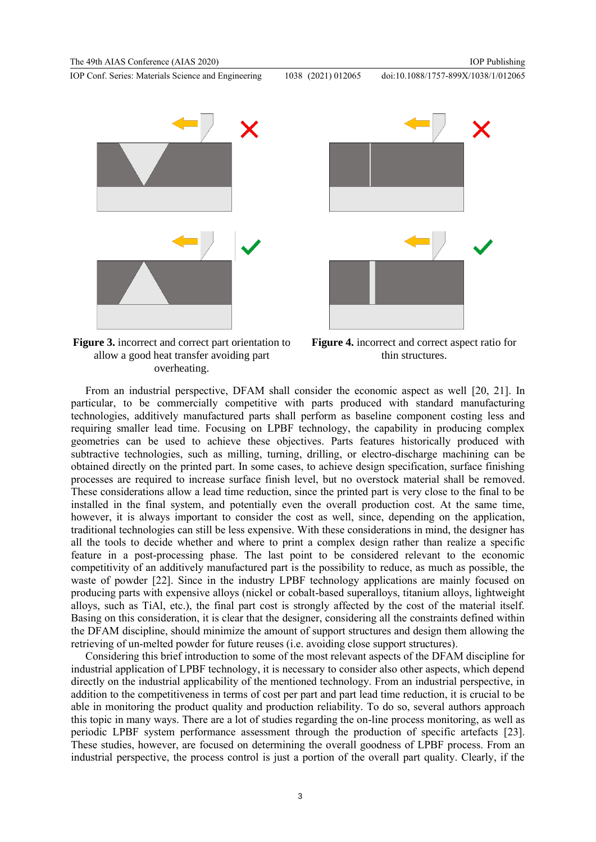





**Figure 3.** incorrect and correct part orientation to allow a good heat transfer avoiding part overheating.

**Figure 4.** incorrect and correct aspect ratio for thin structures.

From an industrial perspective, DFAM shall consider the economic aspect as well [20, 21]. In particular, to be commercially competitive with parts produced with standard manufacturing technologies, additively manufactured parts shall perform as baseline component costing less and requiring smaller lead time. Focusing on LPBF technology, the capability in producing complex geometries can be used to achieve these objectives. Parts features historically produced with subtractive technologies, such as milling, turning, drilling, or electro-discharge machining can be obtained directly on the printed part. In some cases, to achieve design specification, surface finishing processes are required to increase surface finish level, but no overstock material shall be removed. These considerations allow a lead time reduction, since the printed part is very close to the final to be installed in the final system, and potentially even the overall production cost. At the same time, however, it is always important to consider the cost as well, since, depending on the application, traditional technologies can still be less expensive. With these considerations in mind, the designer has all the tools to decide whether and where to print a complex design rather than realize a specific feature in a post-processing phase. The last point to be considered relevant to the economic competitivity of an additively manufactured part is the possibility to reduce, as much as possible, the waste of powder [22]. Since in the industry LPBF technology applications are mainly focused on producing parts with expensive alloys (nickel or cobalt-based superalloys, titanium alloys, lightweight alloys, such as TiAl, etc.), the final part cost is strongly affected by the cost of the material itself. Basing on this consideration, it is clear that the designer, considering all the constraints defined within the DFAM discipline, should minimize the amount of support structures and design them allowing the retrieving of un-melted powder for future reuses (i.e. avoiding close support structures).

Considering this brief introduction to some of the most relevant aspects of the DFAM discipline for industrial application of LPBF technology, it is necessary to consider also other aspects, which depend directly on the industrial applicability of the mentioned technology. From an industrial perspective, in addition to the competitiveness in terms of cost per part and part lead time reduction, it is crucial to be able in monitoring the product quality and production reliability. To do so, several authors approach this topic in many ways. There are a lot of studies regarding the on-line process monitoring, as well as periodic LPBF system performance assessment through the production of specific artefacts [23]. These studies, however, are focused on determining the overall goodness of LPBF process. From an industrial perspective, the process control is just a portion of the overall part quality. Clearly, if the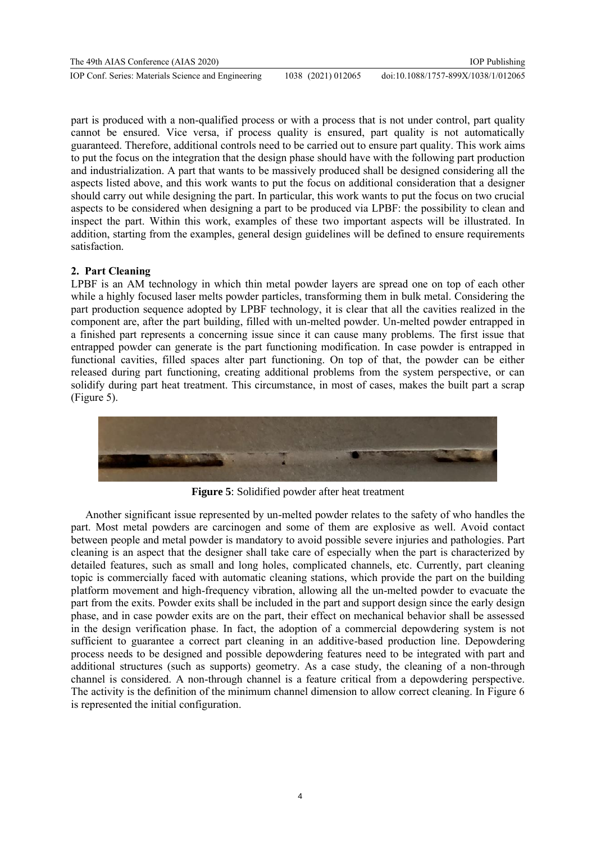part is produced with a non-qualified process or with a process that is not under control, part quality cannot be ensured. Vice versa, if process quality is ensured, part quality is not automatically guaranteed. Therefore, additional controls need to be carried out to ensure part quality. This work aims to put the focus on the integration that the design phase should have with the following part production and industrialization. A part that wants to be massively produced shall be designed considering all the aspects listed above, and this work wants to put the focus on additional consideration that a designer should carry out while designing the part. In particular, this work wants to put the focus on two crucial aspects to be considered when designing a part to be produced via LPBF: the possibility to clean and inspect the part. Within this work, examples of these two important aspects will be illustrated. In addition, starting from the examples, general design guidelines will be defined to ensure requirements satisfaction.

# **2. Part Cleaning**

LPBF is an AM technology in which thin metal powder layers are spread one on top of each other while a highly focused laser melts powder particles, transforming them in bulk metal. Considering the part production sequence adopted by LPBF technology, it is clear that all the cavities realized in the component are, after the part building, filled with un-melted powder. Un-melted powder entrapped in a finished part represents a concerning issue since it can cause many problems. The first issue that entrapped powder can generate is the part functioning modification. In case powder is entrapped in functional cavities, filled spaces alter part functioning. On top of that, the powder can be either released during part functioning, creating additional problems from the system perspective, or can solidify during part heat treatment. This circumstance, in most of cases, makes the built part a scrap (Figure 5).



**Figure 5**: Solidified powder after heat treatment

Another significant issue represented by un-melted powder relates to the safety of who handles the part. Most metal powders are carcinogen and some of them are explosive as well. Avoid contact between people and metal powder is mandatory to avoid possible severe injuries and pathologies. Part cleaning is an aspect that the designer shall take care of especially when the part is characterized by detailed features, such as small and long holes, complicated channels, etc. Currently, part cleaning topic is commercially faced with automatic cleaning stations, which provide the part on the building platform movement and high-frequency vibration, allowing all the un-melted powder to evacuate the part from the exits. Powder exits shall be included in the part and support design since the early design phase, and in case powder exits are on the part, their effect on mechanical behavior shall be assessed in the design verification phase. In fact, the adoption of a commercial depowdering system is not sufficient to guarantee a correct part cleaning in an additive-based production line. Depowdering process needs to be designed and possible depowdering features need to be integrated with part and additional structures (such as supports) geometry. As a case study, the cleaning of a non-through channel is considered. A non-through channel is a feature critical from a depowdering perspective. The activity is the definition of the minimum channel dimension to allow correct cleaning. In Figure 6 is represented the initial configuration.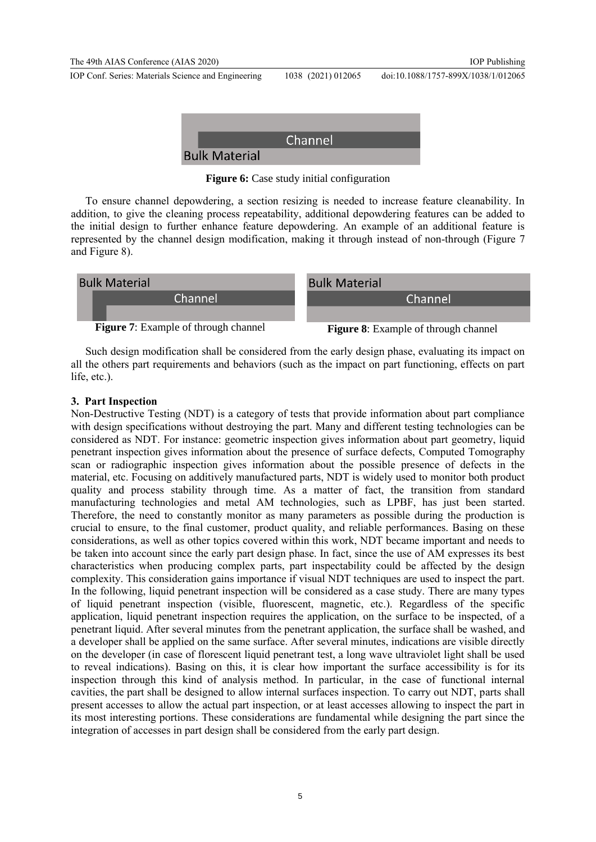

**Figure 6:** Case study initial configuration

To ensure channel depowdering, a section resizing is needed to increase feature cleanability. In addition, to give the cleaning process repeatability, additional depowdering features can be added to the initial design to further enhance feature depowdering. An example of an additional feature is represented by the channel design modification, making it through instead of non-through (Figure 7 and Figure 8).



Such design modification shall be considered from the early design phase, evaluating its impact on all the others part requirements and behaviors (such as the impact on part functioning, effects on part life, etc.).

## **3. Part Inspection**

Non-Destructive Testing (NDT) is a category of tests that provide information about part compliance with design specifications without destroying the part. Many and different testing technologies can be considered as NDT. For instance: geometric inspection gives information about part geometry, liquid penetrant inspection gives information about the presence of surface defects, Computed Tomography scan or radiographic inspection gives information about the possible presence of defects in the material, etc. Focusing on additively manufactured parts, NDT is widely used to monitor both product quality and process stability through time. As a matter of fact, the transition from standard manufacturing technologies and metal AM technologies, such as LPBF, has just been started. Therefore, the need to constantly monitor as many parameters as possible during the production is crucial to ensure, to the final customer, product quality, and reliable performances. Basing on these considerations, as well as other topics covered within this work, NDT became important and needs to be taken into account since the early part design phase. In fact, since the use of AM expresses its best characteristics when producing complex parts, part inspectability could be affected by the design complexity. This consideration gains importance if visual NDT techniques are used to inspect the part. In the following, liquid penetrant inspection will be considered as a case study. There are many types of liquid penetrant inspection (visible, fluorescent, magnetic, etc.). Regardless of the specific application, liquid penetrant inspection requires the application, on the surface to be inspected, of a penetrant liquid. After several minutes from the penetrant application, the surface shall be washed, and a developer shall be applied on the same surface. After several minutes, indications are visible directly on the developer (in case of florescent liquid penetrant test, a long wave ultraviolet light shall be used to reveal indications). Basing on this, it is clear how important the surface accessibility is for its inspection through this kind of analysis method. In particular, in the case of functional internal cavities, the part shall be designed to allow internal surfaces inspection. To carry out NDT, parts shall present accesses to allow the actual part inspection, or at least accesses allowing to inspect the part in its most interesting portions. These considerations are fundamental while designing the part since the integration of accesses in part design shall be considered from the early part design.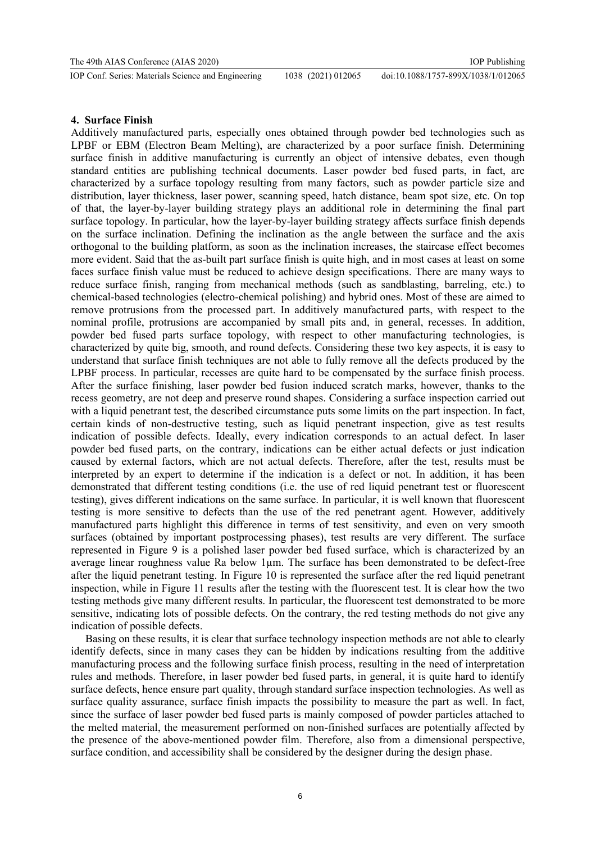## **4. Surface Finish**

Additively manufactured parts, especially ones obtained through powder bed technologies such as LPBF or EBM (Electron Beam Melting), are characterized by a poor surface finish. Determining surface finish in additive manufacturing is currently an object of intensive debates, even though standard entities are publishing technical documents. Laser powder bed fused parts, in fact, are characterized by a surface topology resulting from many factors, such as powder particle size and distribution, layer thickness, laser power, scanning speed, hatch distance, beam spot size, etc. On top of that, the layer-by-layer building strategy plays an additional role in determining the final part surface topology. In particular, how the layer-by-layer building strategy affects surface finish depends on the surface inclination. Defining the inclination as the angle between the surface and the axis orthogonal to the building platform, as soon as the inclination increases, the staircase effect becomes more evident. Said that the as-built part surface finish is quite high, and in most cases at least on some faces surface finish value must be reduced to achieve design specifications. There are many ways to reduce surface finish, ranging from mechanical methods (such as sandblasting, barreling, etc.) to chemical-based technologies (electro-chemical polishing) and hybrid ones. Most of these are aimed to remove protrusions from the processed part. In additively manufactured parts, with respect to the nominal profile, protrusions are accompanied by small pits and, in general, recesses. In addition, powder bed fused parts surface topology, with respect to other manufacturing technologies, is characterized by quite big, smooth, and round defects. Considering these two key aspects, it is easy to understand that surface finish techniques are not able to fully remove all the defects produced by the LPBF process. In particular, recesses are quite hard to be compensated by the surface finish process. After the surface finishing, laser powder bed fusion induced scratch marks, however, thanks to the recess geometry, are not deep and preserve round shapes. Considering a surface inspection carried out with a liquid penetrant test, the described circumstance puts some limits on the part inspection. In fact, certain kinds of non-destructive testing, such as liquid penetrant inspection, give as test results indication of possible defects. Ideally, every indication corresponds to an actual defect. In laser powder bed fused parts, on the contrary, indications can be either actual defects or just indication caused by external factors, which are not actual defects. Therefore, after the test, results must be interpreted by an expert to determine if the indication is a defect or not. In addition, it has been demonstrated that different testing conditions (i.e. the use of red liquid penetrant test or fluorescent testing), gives different indications on the same surface. In particular, it is well known that fluorescent testing is more sensitive to defects than the use of the red penetrant agent. However, additively manufactured parts highlight this difference in terms of test sensitivity, and even on very smooth surfaces (obtained by important postprocessing phases), test results are very different. The surface represented in Figure 9 is a polished laser powder bed fused surface, which is characterized by an average linear roughness value Ra below 1µm. The surface has been demonstrated to be defect-free after the liquid penetrant testing. In Figure 10 is represented the surface after the red liquid penetrant inspection, while in Figure 11 results after the testing with the fluorescent test. It is clear how the two testing methods give many different results. In particular, the fluorescent test demonstrated to be more sensitive, indicating lots of possible defects. On the contrary, the red testing methods do not give any indication of possible defects.

Basing on these results, it is clear that surface technology inspection methods are not able to clearly identify defects, since in many cases they can be hidden by indications resulting from the additive manufacturing process and the following surface finish process, resulting in the need of interpretation rules and methods. Therefore, in laser powder bed fused parts, in general, it is quite hard to identify surface defects, hence ensure part quality, through standard surface inspection technologies. As well as surface quality assurance, surface finish impacts the possibility to measure the part as well. In fact, since the surface of laser powder bed fused parts is mainly composed of powder particles attached to the melted material, the measurement performed on non-finished surfaces are potentially affected by the presence of the above-mentioned powder film. Therefore, also from a dimensional perspective, surface condition, and accessibility shall be considered by the designer during the design phase.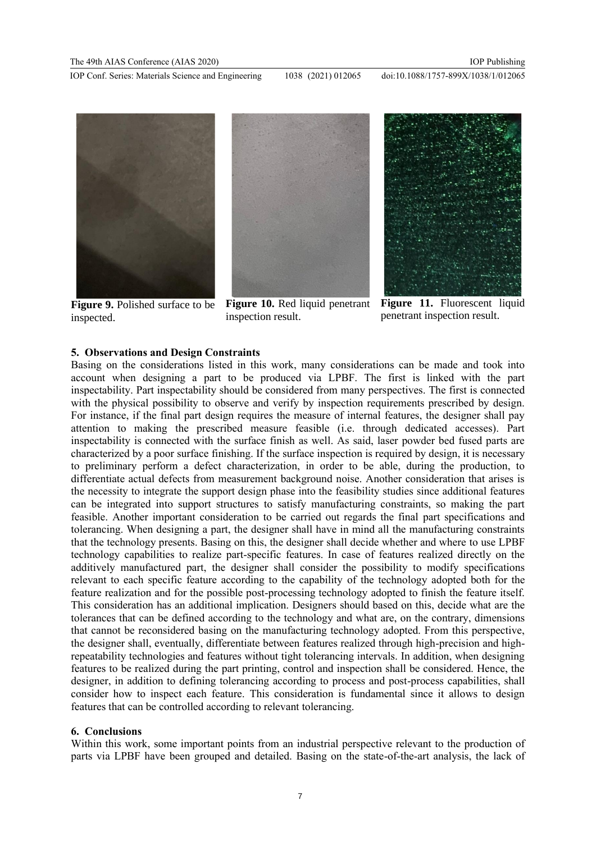doi:10.1088/1757-899X/1038/1/012065



**Figure 9.** Polished surface to be inspected.



inspection result.



Figure 11. Fluorescent liquid penetrant inspection result.

## **5. Observations and Design Constraints**

Basing on the considerations listed in this work, many considerations can be made and took into account when designing a part to be produced via LPBF. The first is linked with the part inspectability. Part inspectability should be considered from many perspectives. The first is connected with the physical possibility to observe and verify by inspection requirements prescribed by design. For instance, if the final part design requires the measure of internal features, the designer shall pay attention to making the prescribed measure feasible (i.e. through dedicated accesses). Part inspectability is connected with the surface finish as well. As said, laser powder bed fused parts are characterized by a poor surface finishing. If the surface inspection is required by design, it is necessary to preliminary perform a defect characterization, in order to be able, during the production, to differentiate actual defects from measurement background noise. Another consideration that arises is the necessity to integrate the support design phase into the feasibility studies since additional features can be integrated into support structures to satisfy manufacturing constraints, so making the part feasible. Another important consideration to be carried out regards the final part specifications and tolerancing. When designing a part, the designer shall have in mind all the manufacturing constraints that the technology presents. Basing on this, the designer shall decide whether and where to use LPBF technology capabilities to realize part-specific features. In case of features realized directly on the additively manufactured part, the designer shall consider the possibility to modify specifications relevant to each specific feature according to the capability of the technology adopted both for the feature realization and for the possible post-processing technology adopted to finish the feature itself. This consideration has an additional implication. Designers should based on this, decide what are the tolerances that can be defined according to the technology and what are, on the contrary, dimensions that cannot be reconsidered basing on the manufacturing technology adopted. From this perspective, the designer shall, eventually, differentiate between features realized through high-precision and highrepeatability technologies and features without tight tolerancing intervals. In addition, when designing features to be realized during the part printing, control and inspection shall be considered. Hence, the designer, in addition to defining tolerancing according to process and post-process capabilities, shall consider how to inspect each feature. This consideration is fundamental since it allows to design features that can be controlled according to relevant tolerancing.

### **6. Conclusions**

Within this work, some important points from an industrial perspective relevant to the production of parts via LPBF have been grouped and detailed. Basing on the state-of-the-art analysis, the lack of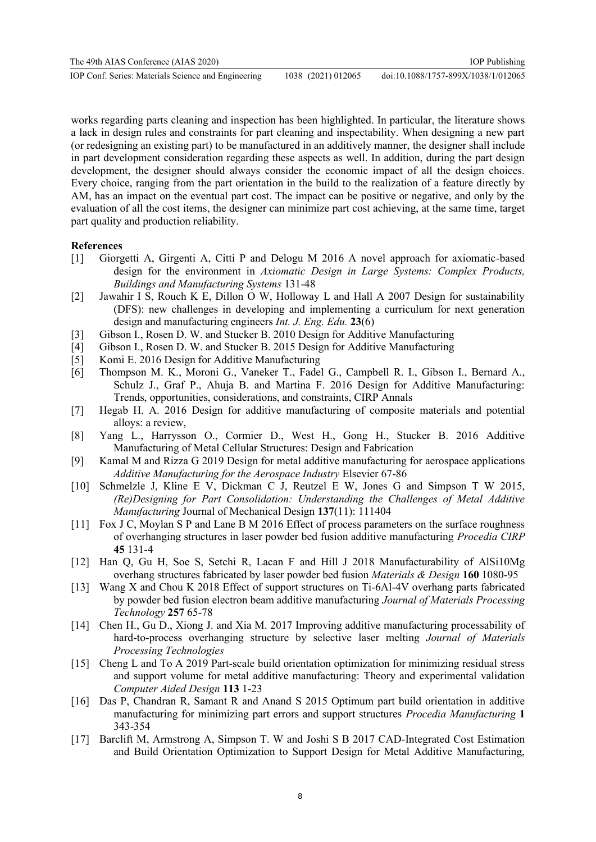works regarding parts cleaning and inspection has been highlighted. In particular, the literature shows a lack in design rules and constraints for part cleaning and inspectability. When designing a new part (or redesigning an existing part) to be manufactured in an additively manner, the designer shall include in part development consideration regarding these aspects as well. In addition, during the part design development, the designer should always consider the economic impact of all the design choices. Every choice, ranging from the part orientation in the build to the realization of a feature directly by AM, has an impact on the eventual part cost. The impact can be positive or negative, and only by the evaluation of all the cost items, the designer can minimize part cost achieving, at the same time, target part quality and production reliability.

## **References**

- [1] Giorgetti A, Girgenti A, Citti P and Delogu M 2016 A novel approach for axiomatic-based design for the environment in *Axiomatic Design in Large Systems: Complex Products, Buildings and Manufacturing Systems* 131-48
- [2] Jawahir I S, Rouch K E, Dillon O W, Holloway L and Hall A 2007 Design for sustainability (DFS): new challenges in developing and implementing a curriculum for next generation design and manufacturing engineers *Int. J. Eng. Edu.* **23**(6)
- [3] Gibson I., Rosen D. W. and Stucker B. 2010 Design for Additive Manufacturing
- [4] Gibson I., Rosen D. W. and Stucker B. 2015 Design for Additive Manufacturing
- [5] Komi E. 2016 Design for Additive Manufacturing
- [6] Thompson M. K., Moroni G., Vaneker T., Fadel G., Campbell R. I., Gibson I., Bernard A., Schulz J., Graf P., Ahuja B. and Martina F. 2016 Design for Additive Manufacturing: Trends, opportunities, considerations, and constraints, CIRP Annals
- [7] Hegab H. A. 2016 Design for additive manufacturing of composite materials and potential alloys: a review,
- [8] Yang L., Harrysson O., Cormier D., West H., Gong H., Stucker B. 2016 Additive Manufacturing of Metal Cellular Structures: Design and Fabrication
- [9] Kamal M and Rizza G 2019 Design for metal additive manufacturing for aerospace applications *Additive Manufacturing for the Aerospace Industry* Elsevier 67-86
- [10] Schmelzle J, Kline E V, Dickman C J, Reutzel E W, Jones G and Simpson T W 2015, *(Re)Designing for Part Consolidation: Understanding the Challenges of Metal Additive Manufacturing* Journal of Mechanical Design **137**(11): 111404
- [11] Fox J C, Moylan S P and Lane B M 2016 Effect of process parameters on the surface roughness of overhanging structures in laser powder bed fusion additive manufacturing *Procedia CIRP*  **45** 131-4
- [12] Han Q, Gu H, Soe S, Setchi R, Lacan F and Hill J 2018 Manufacturability of AlSi10Mg overhang structures fabricated by laser powder bed fusion *Materials & Design* **160** 1080-95
- [13] Wang X and Chou K 2018 Effect of support structures on Ti-6Al-4V overhang parts fabricated by powder bed fusion electron beam additive manufacturing *Journal of Materials Processing Technology* **257** 65-78
- [14] Chen H., Gu D., Xiong J. and Xia M. 2017 Improving additive manufacturing processability of hard-to-process overhanging structure by selective laser melting *Journal of Materials Processing Technologies*
- [15] Cheng L and To A 2019 Part-scale build orientation optimization for minimizing residual stress and support volume for metal additive manufacturing: Theory and experimental validation *Computer Aided Design* **113** 1-23
- [16] Das P, Chandran R, Samant R and Anand S 2015 Optimum part build orientation in additive manufacturing for minimizing part errors and support structures *Procedia Manufacturing* **1** 343-354
- [17] Barclift M, Armstrong A, Simpson T. W and Joshi S B 2017 CAD-Integrated Cost Estimation and Build Orientation Optimization to Support Design for Metal Additive Manufacturing,